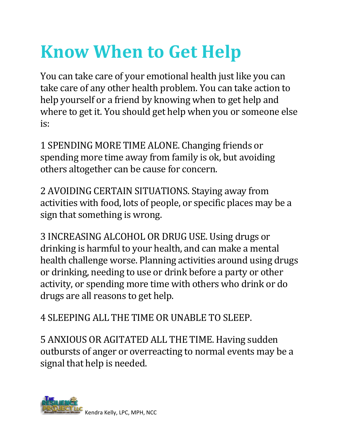## **Know When to Get Help**

You can take care of your emotional health just like you can take care of any other health problem. You can take action to help yourself or a friend by knowing when to get help and where to get it. You should get help when you or someone else is:

1 SPENDING MORE TIME ALONE. Changing friends or spending more time away from family is ok, but avoiding others altogether can be cause for concern.

2 AVOIDING CERTAIN SITUATIONS. Staying away from activities with food, lots of people, or specific places may be a sign that something is wrong.

3 INCREASING ALCOHOL OR DRUG USE. Using drugs or drinking is harmful to your health, and can make a mental health challenge worse. Planning activities around using drugs or drinking, needing to use or drink before a party or other activity, or spending more time with others who drink or do drugs are all reasons to get help.

4 SLEEPING ALL THE TIME OR UNABLE TO SLEEP.

5 ANXIOUS OR AGITATED ALL THE TIME. Having sudden outbursts of anger or overreacting to normal events may be a signal that help is needed.